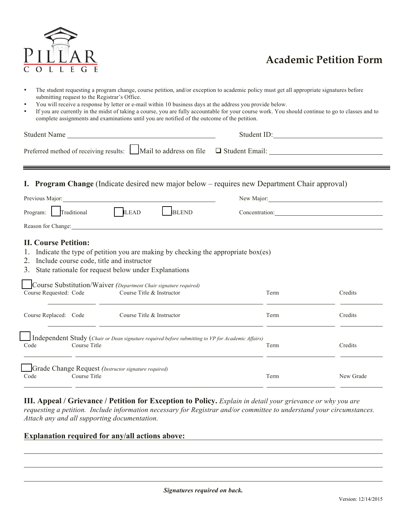

- The student requesting a program change, course petition, and/or exception to academic policy must get all appropriate signatures before submitting request to the Registrar's Office.
- You will receive a response by letter or e-mail within 10 business days at the address you provide below.
- If you are currently in the midst of taking a course, you are fully accountable for your course work. You should continue to go to classes and to complete assignments and examinations until you are notified of the outcome of the petition.

| Student Name                                                                                                                                                                                                                                                                                                                | Student ID:                 |           |  |
|-----------------------------------------------------------------------------------------------------------------------------------------------------------------------------------------------------------------------------------------------------------------------------------------------------------------------------|-----------------------------|-----------|--|
| Preferred method of receiving results: $\Box$ Mail to address on file $\Box$ Student Email: $\Box$                                                                                                                                                                                                                          |                             |           |  |
| <b>Program Change</b> (Indicate desired new major below – requires new Department Chair approval)                                                                                                                                                                                                                           |                             |           |  |
| Previous Major: 2008 Major: 2008 Major: 2008 Major: 2008 Major: 2008 Major: 2008 Major: 2008 Major: 2008 Major                                                                                                                                                                                                              | New Major: 1988 Major: 1988 |           |  |
| <b>ILEAD</b><br>Program: Traditional<br><b>BLEND</b>                                                                                                                                                                                                                                                                        | Concentration:              |           |  |
| Reason for Change:                                                                                                                                                                                                                                                                                                          |                             |           |  |
| Indicate the type of petition you are making by checking the appropriate $box(es)$<br>2. Include course code, title and instructor<br>State rationale for request below under Explanations<br>3.<br>Course Substitution/Waiver (Department Chair signature required)<br>Course Title & Instructor<br>Course Requested: Code | Term                        | Credits   |  |
| Course Replaced: Code<br>Course Title & Instructor<br><u> 1990 - Johann Stoff, amerikansk politiker (d. 1980)</u>                                                                                                                                                                                                           | Term                        | Credits   |  |
| Independent Study (Chair or Dean signature required before submitting to VP for Academic Affairs)<br>Code<br>Course Title                                                                                                                                                                                                   | Term                        | Credits   |  |
| Grade Change Request (Instructor signature required)<br>Course Title<br>Code                                                                                                                                                                                                                                                | Term                        | New Grade |  |

**III. Appeal / Grievance / Petition for Exception to Policy.** *Explain in detail your grievance or why you are requesting a petition. Include information necessary for Registrar and/or committee to understand your circumstances. Attach any and all supporting documentation.*

## **Explanation required for any/all actions above:**